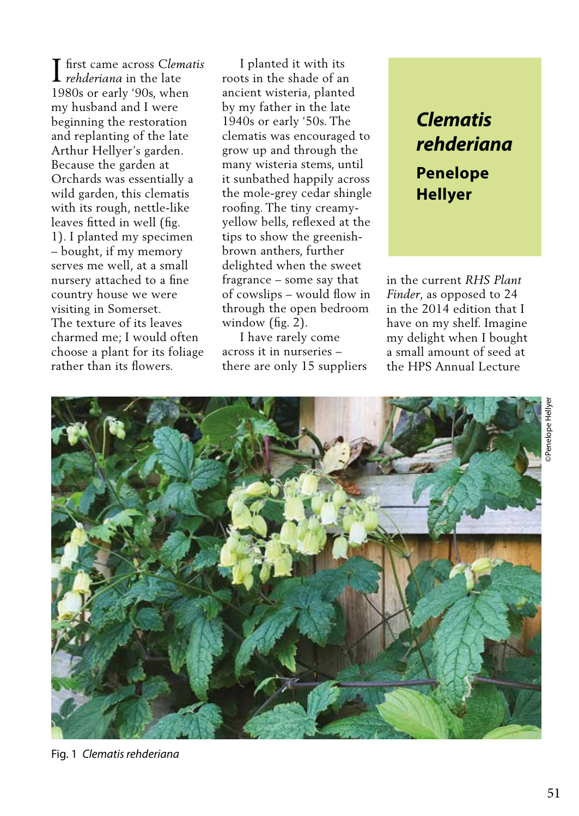first came across *Clematis rehderiana* in the late I 1980s or early '90s, when my husband and I were beginning the restoration and replanting of the late Arthur Hellyer's garden. Because the garden at Orchards was essentially a wild garden, this clematis with its rough, nettle-like leaves fitted in well (fig. 1). I planted my specimen – bought, if my memory serves me well, at a small nursery attached to a fine country house we were visiting in Somerset. The texture of its leaves charmed me; I would often choose a plant for its foliage rather than its flowers.

 I planted it with its roots in the shade of an ancient wisteria, planted by my father in the late 1940s or early '50s. The clematis was encouraged to grow up and through the many wisteria stems, until it sunbathed happily across the mole-grey cedar shingle roofing. The tiny creamyyellow bells, reflexed at the tips to show the greenishbrown anthers, further delighted when the sweet fragrance – some say that of cowslips – would flow in through the open bedroom window (fig. 2).

 I have rarely come across it in nurseries – there are only 15 suppliers

## *Clematis rehderiana* **Penelope Hellyer**

in the current *RHS Plant Finder*, as opposed to 24 in the 2014 edition that I have on my shelf. Imagine my delight when I bought a small amount of seed at the HPS Annual Lecture



Fig. 1 *Clematis rehderiana*